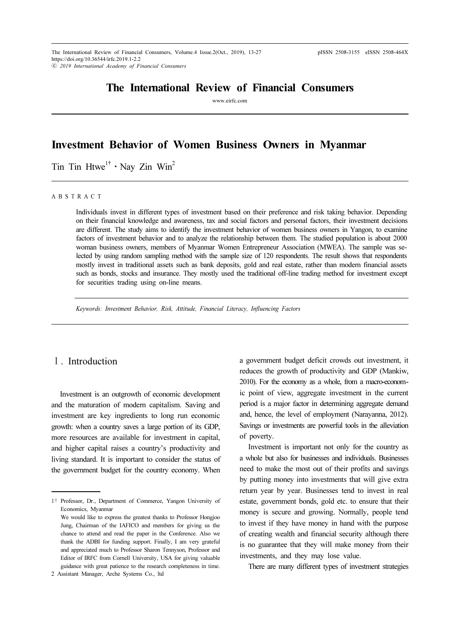# The International Review of Financial Consumers

www.eirfc.com

# Investment Behavior of Women Business Owners in Myanmar

**The Time Htwe<sup>1†</sup> · Nay Zin Win<sup>2</sup>** 

A B S T R A C T

Individuals invest in different types of investment based on their preference and risk taking behavior. Depending on their financial knowledge and awareness, tax and social factors and personal factors, their investment decisions are different. The study aims to identify the investment behavior of women business owners in Yangon, to examine factors of investment behavior and to analyze the relationship between them. The studied population is about 2000 woman business owners, members of Myanmar Women Entrepreneur Association (MWEA). The sample was selected by using random sampling method with the sample size of 120 respondents. The result shows that respondents mostly invest in traditional assets such as bank deposits, gold and real estate, rather than modern financial assets such as bonds, stocks and insurance. They mostly used the traditional off-line trading method for investment except for securities trading using on-line means.

Keywords: Investment Behavior, Risk, Attitude, Financial Literacy, Influencing Factors

## Ⅰ. Introduction

Investment is an outgrowth of economic development and the maturation of modern capitalism. Saving and investment are key ingredients to long run economic growth: when a country saves a large portion of its GDP, more resources are available for investment in capital, and higher capital raises a country's productivity and living standard. It is important to consider the status of the government budget for the country economy. When

a government budget deficit crowds out investment, it reduces the growth of productivity and GDP (Mankiw, 2010). For the economy as a whole, from a macro-economic point of view, aggregate investment in the current period is a major factor in determining aggregate demand and, hence, the level of employment (Narayanna, 2012). Savings or investments are powerful tools in the alleviation of poverty.

Investment is important not only for the country as a whole but also for businesses and individuals. Businesses need to make the most out of their profits and savings by putting money into investments that will give extra return year by year. Businesses tend to invest in real estate, government bonds, gold etc. to ensure that their money is secure and growing. Normally, people tend to invest if they have money in hand with the purpose of creating wealth and financial security although there is no guarantee that they will make money from their investments, and they may lose value.

There are many different types of investment strategies

<sup>1</sup>† Professor, Dr., Department of Commerce, Yangon University of Economics, Myanmar

We would like to express the greatest thanks to Professor Hongjoo Jung, Chairman of the IAFICO and members for giving us the chance to attend and read the paper in the Conference. Also we thank the ADBI for funding support. Finally, I am very grateful and appreciated much to Professor Sharon Tennyson, Professor and Editor of IRFC from Cornell University, USA for giving valuable guidance with great patience to the research completeness in time.

<sup>2</sup> Assistant Manager, Arche Systems Co., ltd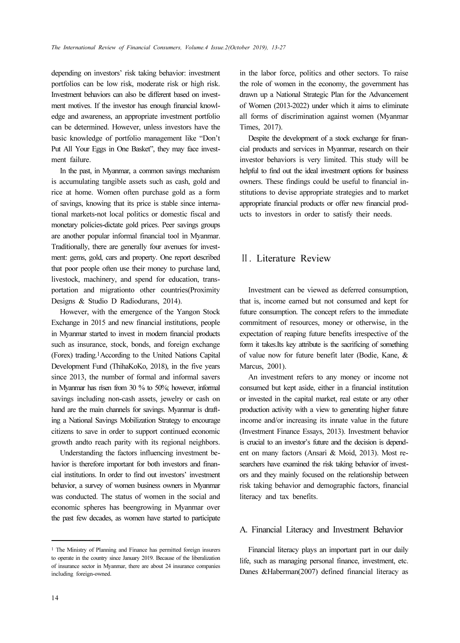depending on investors' risk taking behavior: investment portfolios can be low risk, moderate risk or high risk. Investment behaviors can also be different based on investment motives. If the investor has enough financial knowledge and awareness, an appropriate investment portfolio can be determined. However, unless investors have the basic knowledge of portfolio management like "Don't Put All Your Eggs in One Basket", they may face investment failure.

In the past, in Myanmar, a common savings mechanism is accumulating tangible assets such as cash, gold and rice at home. Women often purchase gold as a form of savings, knowing that its price is stable since international markets-not local politics or domestic fiscal and monetary policies-dictate gold prices. Peer savings groups are another popular informal financial tool in Myanmar. Traditionally, there are generally four avenues for investment: gems, gold, cars and property. One report described that poor people often use their money to purchase land, livestock, machinery, and spend for education, transportation and migrationto other countries(Proximity Designs & Studio D Radiodurans, 2014).

However, with the emergence of the Yangon Stock Exchange in 2015 and new financial institutions, people in Myanmar started to invest in modern financial products such as insurance, stock, bonds, and foreign exchange (Forex) trading.1According to the United Nations Capital Development Fund (ThihaKoKo, 2018), in the five years since 2013, the number of formal and informal savers in Myanmar has risen from 30 % to 50%; however, informal savings including non-cash assets, jewelry or cash on hand are the main channels for savings. Myanmar is drafting a National Savings Mobilization Strategy to encourage citizens to save in order to support continued economic growth andto reach parity with its regional neighbors.

Understanding the factors influencing investment behavior is therefore important for both investors and financial institutions. In order to find out investors' investment behavior, a survey of women business owners in Myanmar was conducted. The status of women in the social and economic spheres has beengrowing in Myanmar over the past few decades, as women have started to participate

in the labor force, politics and other sectors. To raise the role of women in the economy, the government has drawn up a National Strategic Plan for the Advancement of Women (2013-2022) under which it aims to eliminate all forms of discrimination against women (Myanmar Times, 2017).

Despite the development of a stock exchange for financial products and services in Myanmar, research on their investor behaviors is very limited. This study will be helpful to find out the ideal investment options for business owners. These findings could be useful to financial institutions to devise appropriate strategies and to market appropriate financial products or offer new financial products to investors in order to satisfy their needs.

## Ⅱ. Literature Review

Investment can be viewed as deferred consumption, that is, income earned but not consumed and kept for future consumption. The concept refers to the immediate commitment of resources, money or otherwise, in the expectation of reaping future benefits irrespective of the form it takes.Its key attribute is the sacrificing of something of value now for future benefit later (Bodie, Kane, & Marcus, 2001).

An investment refers to any money or income not consumed but kept aside, either in a financial institution or invested in the capital market, real estate or any other production activity with a view to generating higher future income and/or increasing its innate value in the future (Investment Finance Essays, 2013). Investment behavior is crucial to an investor's future and the decision is dependent on many factors (Ansari & Moid, 2013). Most researchers have examined the risk taking behavior of investors and they mainly focused on the relationship between risk taking behavior and demographic factors, financial literacy and tax benefits.

### A. Financial Literacy and Investment Behavior

Financial literacy plays an important part in our daily life, such as managing personal finance, investment, etc. Danes &Haberman(2007) defined financial literacy as

<sup>1</sup> The Ministry of Planning and Finance has permitted foreign insurers to operate in the country since January 2019. Because of the liberalization of insurance sector in Myanmar, there are about 24 insurance companies including foreign-owned.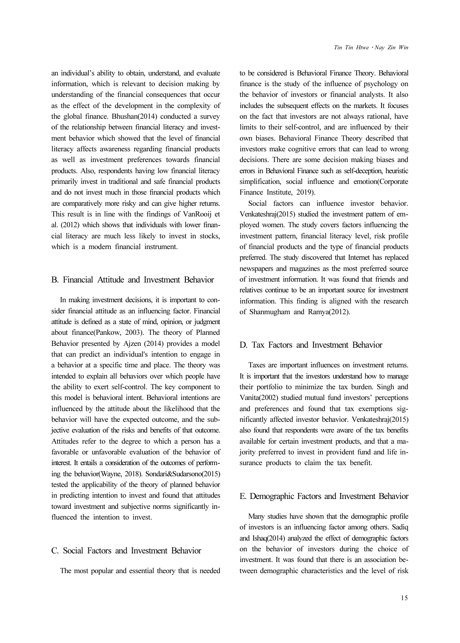an individual's ability to obtain, understand, and evaluate information, which is relevant to decision making by understanding of the financial consequences that occur as the effect of the development in the complexity of the global finance. Bhushan(2014) conducted a survey of the relationship between financial literacy and investment behavior which showed that the level of financial literacy affects awareness regarding financial products as well as investment preferences towards financial products. Also, respondents having low financial literacy primarily invest in traditional and safe financial products and do not invest much in those financial products which are comparatively more risky and can give higher returns. This result is in line with the findings of VanRooij et al. (2012) which shows that individuals with lower financial literacy are much less likely to invest in stocks, which is a modern financial instrument.

## B. Financial Attitude and Investment Behavior

In making investment decisions, it is important to consider financial attitude as an influencing factor. Financial attitude is defined as a state of mind, opinion, or judgment about finance(Pankow, 2003). The theory of Planned Behavior presented by Ajzen (2014) provides a model that can predict an individual's intention to engage in a behavior at a specific time and place. The theory was intended to explain all behaviors over which people have the ability to exert self-control. The key component to this model is behavioral intent. Behavioral intentions are influenced by the attitude about the likelihood that the behavior will have the expected outcome, and the subjective evaluation of the risks and benefits of that outcome. Attitudes refer to the degree to which a person has a favorable or unfavorable evaluation of the behavior of interest. It entails a consideration of the outcomes of performing the behavior(Wayne, 2018). Sondari&Sudarsono(2015) tested the applicability of the theory of planned behavior in predicting intention to invest and found that attitudes toward investment and subjective norms significantly influenced the intention to invest.

## C. Social Factors and Investment Behavior

The most popular and essential theory that is needed

to be considered is Behavioral Finance Theory. Behavioral finance is the study of the influence of psychology on the behavior of investors or financial analysts. It also includes the subsequent effects on the markets. It focuses on the fact that investors are not always rational, have limits to their self-control, and are influenced by their own biases. Behavioral Finance Theory described that investors make cognitive errors that can lead to wrong decisions. There are some decision making biases and errors in Behavioral Finance such as self-deception, heuristic simplification, social influence and emotion(Corporate Finance Institute, 2019).

Social factors can influence investor behavior. Venkateshraj(2015) studied the investment pattern of employed women. The study covers factors influencing the investment pattern, financial literacy level, risk profile of financial products and the type of financial products preferred. The study discovered that Internet has replaced newspapers and magazines as the most preferred source of investment information. It was found that friends and relatives continue to be an important source for investment information. This finding is aligned with the research of Shanmugham and Ramya(2012).

### D. Tax Factors and Investment Behavior

Taxes are important influences on investment returns. It is important that the investors understand how to manage their portfolio to minimize the tax burden. Singh and Vanita(2002) studied mutual fund investors' perceptions and preferences and found that tax exemptions significantly affected investor behavior. Venkateshraj(2015) also found that respondents were aware of the tax benefits available for certain investment products, and that a majority preferred to invest in provident fund and life insurance products to claim the tax benefit.

### E. Demographic Factors and Investment Behavior

Many studies have shown that the demographic profile of investors is an influencing factor among others. Sadiq and Ishaq(2014) analyzed the effect of demographic factors on the behavior of investors during the choice of investment. It was found that there is an association between demographic characteristics and the level of risk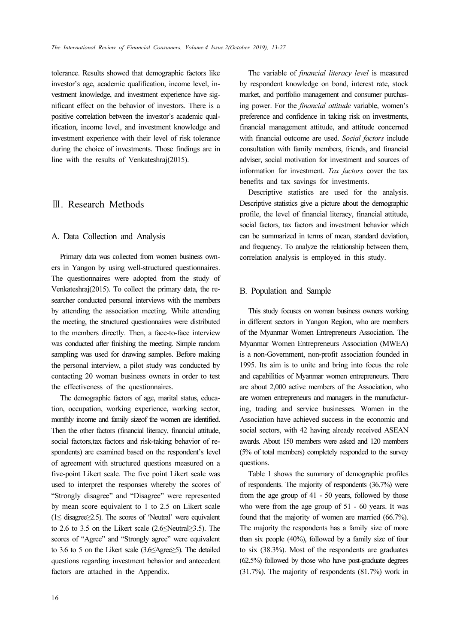tolerance. Results showed that demographic factors like investor's age, academic qualification, income level, investment knowledge, and investment experience have significant effect on the behavior of investors. There is a positive correlation between the investor's academic qualification, income level, and investment knowledge and investment experience with their level of risk tolerance during the choice of investments. Those findings are in line with the results of Venkateshraj(2015).

## Ⅲ. Research Methods

### A. Data Collection and Analysis

Primary data was collected from women business owners in Yangon by using well-structured questionnaires. The questionnaires were adopted from the study of Venkateshraj(2015). To collect the primary data, the researcher conducted personal interviews with the members by attending the association meeting. While attending the meeting, the structured questionnaires were distributed to the members directly. Then, a face-to-face interview was conducted after finishing the meeting. Simple random sampling was used for drawing samples. Before making the personal interview, a pilot study was conducted by contacting 20 woman business owners in order to test the effectiveness of the questionnaires.

The demographic factors of age, marital status, education, occupation, working experience, working sector, monthly income and family sizeof the women are identified. Then the other factors (financial literacy, financial attitude, social factors,tax factors and risk-taking behavior of respondents) are examined based on the respondent's level of agreement with structured questions measured on a five-point Likert scale. The five point Likert scale was used to interpret the responses whereby the scores of "Strongly disagree" and "Disagree" were represented by mean score equivalent to 1 to 2.5 on Likert scale (1≤ disagree≥2.5). The scores of 'Neutral' were equivalent to 2.6 to 3.5 on the Likert scale (2.6≤Neutral≥3.5). The scores of "Agree" and "Strongly agree" were equivalent to 3.6 to 5 on the Likert scale (3.6≤Agree≥5). The detailed questions regarding investment behavior and antecedent factors are attached in the Appendix.

The variable of *financial literacy level* is measured by respondent knowledge on bond, interest rate, stock market, and portfolio management and consumer purchasing power. For the financial attitude variable, women's preference and confidence in taking risk on investments, financial management attitude, and attitude concerned with financial outcome are used. Social factors include consultation with family members, friends, and financial adviser, social motivation for investment and sources of information for investment. Tax factors cover the tax benefits and tax savings for investments.

Descriptive statistics are used for the analysis. Descriptive statistics give a picture about the demographic profile, the level of financial literacy, financial attitude, social factors, tax factors and investment behavior which can be summarized in terms of mean, standard deviation, and frequency. To analyze the relationship between them, correlation analysis is employed in this study.

#### B. Population and Sample

This study focuses on woman business owners working in different sectors in Yangon Region, who are members of the Myanmar Women Entrepreneurs Association. The Myanmar Women Entrepreneurs Association (MWEA) is a non-Government, non-profit association founded in 1995. Its aim is to unite and bring into focus the role and capabilities of Myanmar women entrepreneurs. There are about 2,000 active members of the Association, who are women entrepreneurs and managers in the manufacturing, trading and service businesses. Women in the Association have achieved success in the economic and social sectors, with 42 having already received ASEAN awards. About 150 members were asked and 120 members (5% of total members) completely responded to the survey questions.

Table 1 shows the summary of demographic profiles of respondents. The majority of respondents (36.7%) were from the age group of 41 - 50 years, followed by those who were from the age group of 51 - 60 years. It was found that the majority of women are married (66.7%). The majority the respondents has a family size of more than six people (40%), followed by a family size of four to six (38.3%). Most of the respondents are graduates (62.5%) followed by those who have post-graduate degrees (31.7%). The majority of respondents (81.7%) work in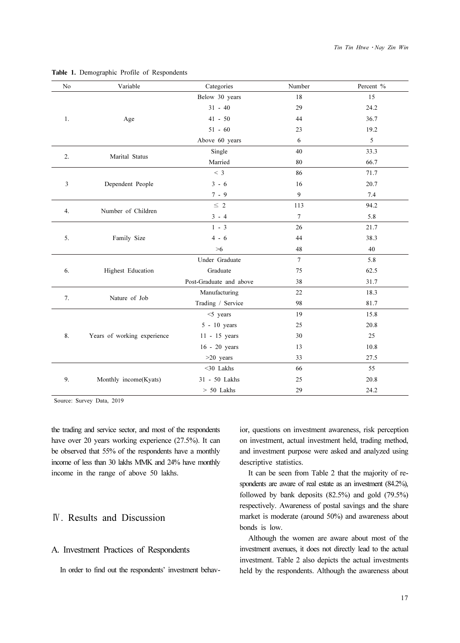| No | Variable                    | Categories              | Number | Percent % |
|----|-----------------------------|-------------------------|--------|-----------|
|    |                             | Below 30 years          | 18     | 15        |
|    |                             | $31 - 40$               | 29     | 24.2      |
| 1. | Age                         | $41 - 50$               | 44     | 36.7      |
|    |                             | $51 - 60$               | 23     | 19.2      |
|    |                             | Above 60 years          | 6      | 5         |
| 2. | Marital Status              | Single                  | 40     | 33.3      |
|    |                             | Married                 | 80     | 66.7      |
|    |                             | < 3                     | 86     | 71.7      |
| 3  | Dependent People            | $3 - 6$                 | 16     | 20.7      |
|    |                             | $7 - 9$                 | 9      | 7.4       |
| 4. | Number of Children          | $\leq 2$                | 113    | 94.2      |
|    |                             | $3 - 4$                 | $\tau$ | 5.8       |
|    |                             | $1 - 3$                 | 26     | 21.7      |
| 5. | Family Size                 | $4 - 6$                 | 44     | 38.3      |
|    |                             | $>6$                    | 48     | 40        |
|    |                             | Under Graduate          | $\tau$ | 5.8       |
| 6. | Highest Education           | Graduate                | 75     | 62.5      |
|    |                             | Post-Graduate and above | 38     | 31.7      |
| 7. | Nature of Job               | Manufacturing           | 22     | 18.3      |
|    |                             | Trading / Service       | 98     | 81.7      |
|    |                             | $<$ 5 years             | 19     | 15.8      |
|    |                             | 5 - 10 years            | 25     | 20.8      |
| 8. | Years of working experience | 11 - 15 years           | 30     | 25        |
|    |                             | 16 - 20 years           | 13     | 10.8      |
|    |                             | $>20$ years             | 33     | 27.5      |
|    |                             | $<$ 30 Lakhs            | 66     | 55        |
| 9. | Monthly income(Kyats)       | 31 - 50 Lakhs           | 25     | 20.8      |
|    |                             | $> 50$ Lakhs            | 29     | 24.2      |

#### Table 1. Demographic Profile of Respondents

Source: Survey Data, 2019

the trading and service sector, and most of the respondents have over 20 years working experience (27.5%). It can be observed that 55% of the respondents have a monthly income of less than 30 lakhs MMK and 24% have monthly income in the range of above 50 lakhs.

## Ⅳ. Results and Discussion

## A. Investment Practices of Respondents

In order to find out the respondents' investment behav-

ior, questions on investment awareness, risk perception on investment, actual investment held, trading method, and investment purpose were asked and analyzed using descriptive statistics.

It can be seen from Table 2 that the majority of respondents are aware of real estate as an investment (84.2%), followed by bank deposits (82.5%) and gold (79.5%) respectively. Awareness of postal savings and the share market is moderate (around 50%) and awareness about bonds is low.

Although the women are aware about most of the investment avenues, it does not directly lead to the actual investment. Table 2 also depicts the actual investments held by the respondents. Although the awareness about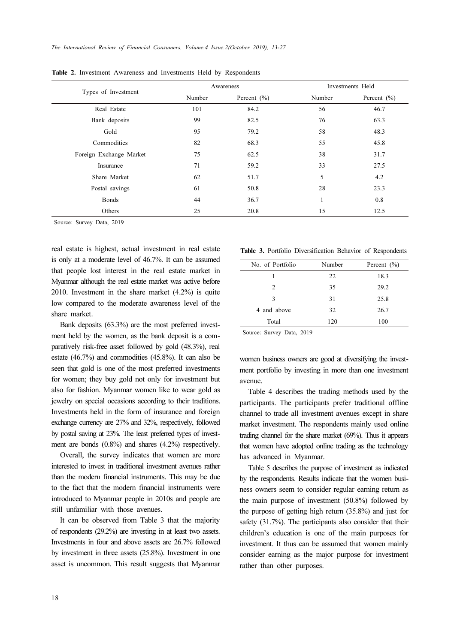|                         |        | Awareness       | Investments Held |                 |  |
|-------------------------|--------|-----------------|------------------|-----------------|--|
| Types of Investment     | Number | Percent $(\% )$ | Number           | Percent $(\% )$ |  |
| Real Estate             | 101    | 84.2            | 56               | 46.7            |  |
| Bank deposits           | 99     | 82.5            | 76               | 63.3            |  |
| Gold                    | 95     | 79.2            | 58               | 48.3            |  |
| Commodities             | 82     | 68.3            | 55               | 45.8            |  |
| Foreign Exchange Market | 75     | 62.5            | 38               | 31.7            |  |
| Insurance               | 71     | 59.2            | 33               | 27.5            |  |
| Share Market            | 62     | 51.7            | 5                | 4.2             |  |
| Postal savings          | 61     | 50.8            | 28               | 23.3            |  |
| <b>Bonds</b>            | 44     | 36.7            |                  | 0.8             |  |
| Others                  | 25     | 20.8            | 15               | 12.5            |  |

Table 2. Investment Awareness and Investments Held by Respondents

Source: Survey Data, 2019

real estate is highest, actual investment in real estate is only at a moderate level of 46.7%. It can be assumed that people lost interest in the real estate market in Myanmar although the real estate market was active before 2010. Investment in the share market (4.2%) is quite low compared to the moderate awareness level of the share market.

Bank deposits (63.3%) are the most preferred investment held by the women, as the bank deposit is a comparatively risk-free asset followed by gold (48.3%), real estate (46.7%) and commodities (45.8%). It can also be seen that gold is one of the most preferred investments for women; they buy gold not only for investment but also for fashion. Myanmar women like to wear gold as jewelry on special occasions according to their traditions. Investments held in the form of insurance and foreign exchange currency are 27% and 32%, respectively, followed by postal saving at 23%. The least preferred types of investment are bonds (0.8%) and shares (4.2%) respectively.

Overall, the survey indicates that women are more interested to invest in traditional investment avenues rather than the modern financial instruments. This may be due to the fact that the modern financial instruments were introduced to Myanmar people in 2010s and people are still unfamiliar with those avenues.

It can be observed from Table 3 that the majority of respondents (29.2%) are investing in at least two assets. Investments in four and above assets are 26.7% followed by investment in three assets (25.8%). Investment in one asset is uncommon. This result suggests that Myanmar

|  |  |  | <b>Table 3.</b> Portfolio Diversification Behavior of Respondents |  |  |  |  |
|--|--|--|-------------------------------------------------------------------|--|--|--|--|
|--|--|--|-------------------------------------------------------------------|--|--|--|--|

| No. of Portfolio | Number | Percent $(\% )$ |
|------------------|--------|-----------------|
|                  | 22     | 18.3            |
| $\mathcal{L}$    | 35     | 29.2            |
| 3                | 31     | 25.8            |
| 4 and above      | 32     | 26.7            |
| Total            | 120    | 100             |
|                  |        |                 |

Source: Survey Data, 2019

women business owners are good at diversifying the investment portfolio by investing in more than one investment avenue.

Table 4 describes the trading methods used by the participants. The participants prefer traditional offline channel to trade all investment avenues except in share market investment. The respondents mainly used online trading channel for the share market (69%). Thus it appears that women have adopted online trading as the technology has advanced in Myanmar.

Table 5 describes the purpose of investment as indicated by the respondents. Results indicate that the women business owners seem to consider regular earning return as the main purpose of investment (50.8%) followed by the purpose of getting high return (35.8%) and just for safety (31.7%). The participants also consider that their children's education is one of the main purposes for investment. It thus can be assumed that women mainly consider earning as the major purpose for investment rather than other purposes.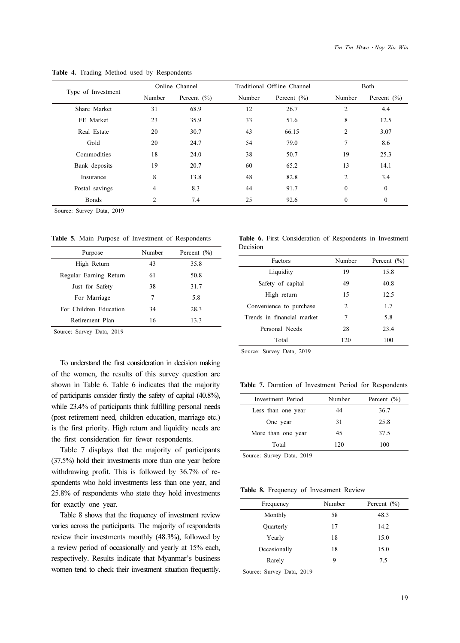|                    |                | Online Channel  | Traditional Offline Channel |                 | Both           |                 |
|--------------------|----------------|-----------------|-----------------------------|-----------------|----------------|-----------------|
| Type of Investment | Number         | Percent $(\% )$ | Number                      | Percent $(\% )$ | Number         | Percent $(\% )$ |
| Share Market       | 31             | 68.9            | 12                          | 26.7            | 2              | 4.4             |
| FE Market          | 23             | 35.9            | 33                          | 51.6            | 8              | 12.5            |
| Real Estate        | 20             | 30.7            | 43                          | 66.15           | $\overline{c}$ | 3.07            |
| Gold               | 20             | 24.7            | 54                          | 79.0            | 7              | 8.6             |
| Commodities        | 18             | 24.0            | 38                          | 50.7            | 19             | 25.3            |
| Bank deposits      | 19             | 20.7            | 60                          | 65.2            | 13             | 14.1            |
| Insurance          | 8              | 13.8            | 48                          | 82.8            | 2              | 3.4             |
| Postal savings     | 4              | 8.3             | 44                          | 91.7            | $\theta$       | $\mathbf{0}$    |
| <b>Bonds</b>       | $\overline{c}$ | 7.4             | 25                          | 92.6            | $\Omega$       | $\mathbf{0}$    |

Table 4. Trading Method used by Respondents

Source: Survey Data, 2019

Table 5. Main Purpose of Investment of Respondents

| Purpose                | Number | Percent $(\% )$ |
|------------------------|--------|-----------------|
| High Return            | 43     | 35.8            |
| Regular Earning Return | 61     | 50.8            |
| Just for Safety        | 38     | 31.7            |
| For Marriage           | 7      | 5.8             |
| For Children Education | 34     | 28.3            |
| Retirement Plan        | 16     | 13.3            |
|                        |        |                 |

Source: Survey Data, 2019

To understand the first consideration in decision making of the women, the results of this survey question are shown in Table 6. Table 6 indicates that the majority of participants consider firstly the safety of capital (40.8%), while 23.4% of participants think fulfilling personal needs (post retirement need, children education, marriage etc.) is the first priority. High return and liquidity needs are the first consideration for fewer respondents.

Table 7 displays that the majority of participants (37.5%) hold their investments more than one year before withdrawing profit. This is followed by 36.7% of respondents who hold investments less than one year, and 25.8% of respondents who state they hold investments for exactly one year.

Table 8 shows that the frequency of investment review varies across the participants. The majority of respondents review their investments monthly (48.3%), followed by a review period of occasionally and yearly at 15% each, respectively. Results indicate that Myanmar's business women tend to check their investment situation frequently.

|          | Table 6. First Consideration of Respondents in Investment |  |  |
|----------|-----------------------------------------------------------|--|--|
| Decision |                                                           |  |  |

| Factors                    | Number | Percent $(\% )$ |
|----------------------------|--------|-----------------|
| Liquidity                  | 19     | 15.8            |
| Safety of capital          | 49     | 40.8            |
| High return                | 15     | 12.5            |
| Convenience to purchase    | 2      | 1.7             |
| Trends in financial market | 7      | 5.8             |
| Personal Needs             | 28     | 23.4            |
| Total                      | 120    | 100             |

Source: Survey Data, 2019

Table 7. Duration of Investment Period for Respondents

| Investment Period  | Number | Percent $(\% )$ |
|--------------------|--------|-----------------|
| Less than one year | 44     | 36.7            |
| One year           | 31     | 25.8            |
| More than one year | 45     | 37.5            |
| Total              | 120    | 100             |

Source: Survey Data, 2019

Table 8. Frequency of Investment Review

| Frequency    | Number | Percent $(\% )$ |
|--------------|--------|-----------------|
| Monthly      | 58     | 48.3            |
| Quarterly    | 17     | 14.2            |
| Yearly       | 18     | 15.0            |
| Occasionally | 18     | 15.0            |
| Rarely       | 9      | 7.5             |

Source: Survey Data, 2019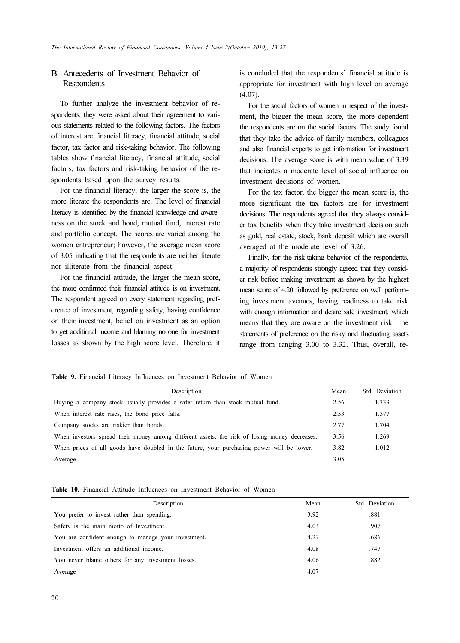## B. Antecedents of Investment Behavior of Respondents

To further analyze the investment behavior of respondents, they were asked about their agreement to various statements related to the following factors. The factors of interest are financial literacy, financial attitude, social factor, tax factor and risk-taking behavior. The following tables show financial literacy, financial attitude, social factors, tax factors and risk-taking behavior of the respondents based upon the survey results.

For the financial literacy, the larger the score is, the more literate the respondents are. The level of financial literacy is identified by the financial knowledge and awareness on the stock and bond, mutual fund, interest rate and portfolio concept. The scores are varied among the women entrepreneur; however, the average mean score of 3.05 indicating that the respondents are neither literate nor illiterate from the financial aspect.

For the financial attitude, the larger the mean score, the more confirmed their financial attitude is on investment. The respondent agreed on every statement regarding preference of investment, regarding safety, having confidence on their investment, belief on investment as an option to get additional income and blaming no one for investment losses as shown by the high score level. Therefore, it is concluded that the respondents' financial attitude is appropriate for investment with high level on average  $(4.07)$ .

For the social factors of women in respect of the investment, the bigger the mean score, the more dependent the respondents are on the social factors. The study found that they take the advice of family members, colleagues and also financial experts to get information for investment decisions. The average score is with mean value of 3.39 that indicates a moderate level of social influence on investment decisions of women.

For the tax factor, the bigger the mean score is, the more significant the tax factors are for investment decisions. The respondents agreed that they always consider tax benefits when they take investment decision such as gold, real estate, stock, bank deposit which are overall averaged at the moderate level of 3.26.

Finally, for the risk-taking behavior of the respondents, a majority of respondents strongly agreed that they consider risk before making investment as shown by the highest mean score of 4.20 followed by preference on well performing investment avenues, having readiness to take risk with enough information and desire safe investment, which means that they are aware on the investment risk. The statements of preference on the risky and fluctuating assets range from ranging 3.00 to 3.32. Thus, overall, re-

Table 9. Financial Literacy Influences on Investment Behavior of Women

| Description                                                                                   | Mean | Std. Deviation |
|-----------------------------------------------------------------------------------------------|------|----------------|
| Buying a company stock usually provides a safer return than stock mutual fund.                | 2.56 | 1.333          |
| When interest rate rises, the bond price falls.                                               | 2.53 | 1.577          |
| Company stocks are riskier than bonds.                                                        | 2.77 | 1.704          |
| When investors spread their money among different assets, the risk of losing money decreases. | 3.56 | 1.269          |
| When prices of all goods have doubled in the future, your purchasing power will be lower.     | 3.82 | 1.012          |
| Average                                                                                       | 3.05 |                |

#### Table 10. Financial Attitude Influences on Investment Behavior of Women

| Description                                         | Mean | Std. Deviation |
|-----------------------------------------------------|------|----------------|
| You prefer to invest rather than spending.          | 3.92 | .881           |
| Safety is the main motto of Investment.             | 4.03 | .907           |
| You are confident enough to manage your investment. | 4.27 | .686           |
| Investment offers an additional income.             | 4.08 | .747           |
| You never blame others for any investment losses.   | 4.06 | .882           |
| Average                                             | 4.07 |                |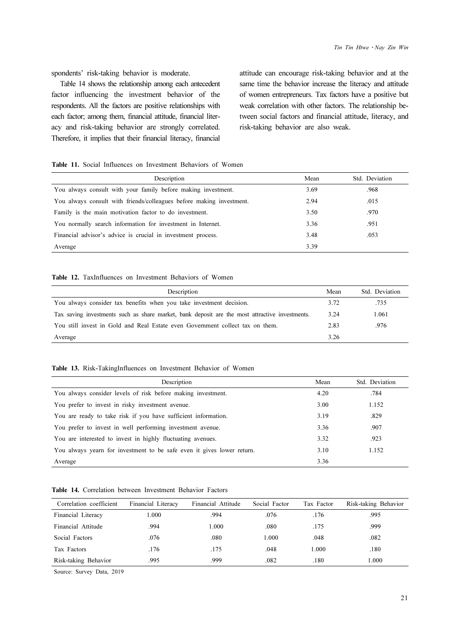spondents' risk-taking behavior is moderate.

Table 14 shows the relationship among each antecedent factor influencing the investment behavior of the respondents. All the factors are positive relationships with each factor; among them, financial attitude, financial literacy and risk-taking behavior are strongly correlated. Therefore, it implies that their financial literacy, financial

attitude can encourage risk-taking behavior and at the same time the behavior increase the literacy and attitude of women entrepreneurs. Tax factors have a positive but weak correlation with other factors. The relationship between social factors and financial attitude, literacy, and risk-taking behavior are also weak.

#### Table 11. Social Influences on Investment Behaviors of Women

| Description                                                          | Mean | Std. Deviation |
|----------------------------------------------------------------------|------|----------------|
| You always consult with your family before making investment.        | 3.69 | .968           |
| You always consult with friends/colleagues before making investment. | 2.94 | .015           |
| Family is the main motivation factor to do investment.               | 3.50 | .970           |
| You normally search information for investment in Internet.          | 3.36 | .951           |
| Financial advisor's advice is crucial in investment process.         | 3.48 | .053           |
| Average                                                              | 3.39 |                |

#### Table 12. TaxInfluences on Investment Behaviors of Women

| Description                                                                                    |      | Std. Deviation |
|------------------------------------------------------------------------------------------------|------|----------------|
| You always consider tax benefits when you take investment decision.                            | 3.72 | .735           |
| Tax saving investments such as share market, bank deposit are the most attractive investments. | 3.24 | 1.061          |
| You still invest in Gold and Real Estate even Government collect tax on them.                  | 2.83 | .976           |
| Average                                                                                        | 3.26 |                |

#### Table 13. Risk-TakingInfluences on Investment Behavior of Women

| Description                                                            | Mean | Std. Deviation |
|------------------------------------------------------------------------|------|----------------|
| You always consider levels of risk before making investment.           | 4.20 | .784           |
| You prefer to invest in risky investment avenue.                       | 3.00 | 1.152          |
| You are ready to take risk if you have sufficient information.         | 3.19 | .829           |
| You prefer to invest in well performing investment avenue.             | 3.36 | .907           |
| You are interested to invest in highly fluctuating avenues.            | 3.32 | .923           |
| You always yearn for investment to be safe even it gives lower return. | 3.10 | 1.152          |
| Average                                                                | 3.36 |                |

#### Table 14. Correlation between Investment Behavior Factors

| Correlation coefficient | Financial Literacy | Financial Attitude | Social Factor | Tax Factor | Risk-taking Behavior |
|-------------------------|--------------------|--------------------|---------------|------------|----------------------|
| Financial Literacy      | 1.000              | .994               | .076          | .176       | .995                 |
| Financial Attitude      | .994               | 1.000              | .080          | .175       | .999                 |
| Social Factors          | .076               | .080               | 1.000         | .048       | .082                 |
| Tax Factors             | .176               | .175               | .048          | 1.000      | .180                 |
| Risk-taking Behavior    | .995               | .999               | .082          | .180       | 1.000                |

Source: Survey Data, 2019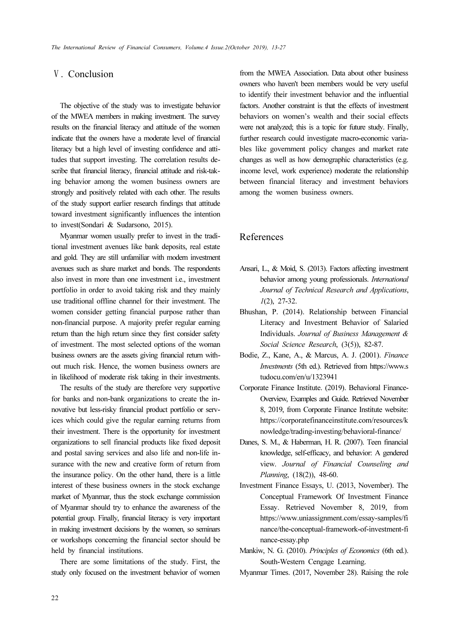## Ⅴ. Conclusion

The objective of the study was to investigate behavior of the MWEA members in making investment. The survey results on the financial literacy and attitude of the women indicate that the owners have a moderate level of financial literacy but a high level of investing confidence and attitudes that support investing. The correlation results describe that financial literacy, financial attitude and risk-taking behavior among the women business owners are strongly and positively related with each other. The results of the study support earlier research findings that attitude toward investment significantly influences the intention to invest(Sondari & Sudarsono, 2015).

Myanmar women usually prefer to invest in the traditional investment avenues like bank deposits, real estate and gold. They are still unfamiliar with modern investment avenues such as share market and bonds. The respondents also invest in more than one investment i.e., investment portfolio in order to avoid taking risk and they mainly use traditional offline channel for their investment. The women consider getting financial purpose rather than non-financial purpose. A majority prefer regular earning return than the high return since they first consider safety of investment. The most selected options of the woman business owners are the assets giving financial return without much risk. Hence, the women business owners are in likelihood of moderate risk taking in their investments.

The results of the study are therefore very supportive for banks and non-bank organizations to create the innovative but less-risky financial product portfolio or services which could give the regular earning returns from their investment. There is the opportunity for investment organizations to sell financial products like fixed deposit and postal saving services and also life and non-life insurance with the new and creative form of return from the insurance policy. On the other hand, there is a little interest of these business owners in the stock exchange market of Myanmar, thus the stock exchange commission of Myanmar should try to enhance the awareness of the potential group. Finally, financial literacy is very important in making investment decisions by the women, so seminars or workshops concerning the financial sector should be held by financial institutions.

There are some limitations of the study. First, the study only focused on the investment behavior of women from the MWEA Association. Data about other business owners who haven't been members would be very useful to identify their investment behavior and the influential factors. Another constraint is that the effects of investment behaviors on women's wealth and their social effects were not analyzed; this is a topic for future study. Finally, further research could investigate macro-economic variables like government policy changes and market rate changes as well as how demographic characteristics (e.g. income level, work experience) moderate the relationship between financial literacy and investment behaviors among the women business owners.

## References

- Ansari, L., & Moid, S. (2013). Factors affecting investment behavior among young professionals. International Journal of Technical Research and Applications, 1(2), 27-32.
- Bhushan, P. (2014). Relationship between Financial Literacy and Investment Behavior of Salaried Individuals. Journal of Business Management & Social Science Research, (3(5)), 82-87.
- Bodie, Z., Kane, A., & Marcus, A. J. (2001). Finance Investments (5th ed.). Retrieved from https://www.s tudocu.com/en/u/1323941
- Corporate Finance Institute. (2019). Behavioral Finance-Overview, Examples and Guide. Retrieved November 8, 2019, from Corporate Finance Institute website: https://corporatefinanceinstitute.com/resources/k nowledge/trading-investing/behavioral-finance/
- Danes, S. M., & Haberman, H. R. (2007). Teen financial knowledge, self-efficacy, and behavior: A gendered view. Journal of Financial Counseling and Planning, (18(2)), 48-60.
- Investment Finance Essays, U. (2013, November). The Conceptual Framework Of Investment Finance Essay. Retrieved November 8, 2019, from https://www.uniassignment.com/essay-samples/fi nance/the-conceptual-framework-of-investment-fi nance-essay.php
- Mankiw, N. G. (2010). Principles of Economics (6th ed.). South-Western Cengage Learning.
- Myanmar Times. (2017, November 28). Raising the role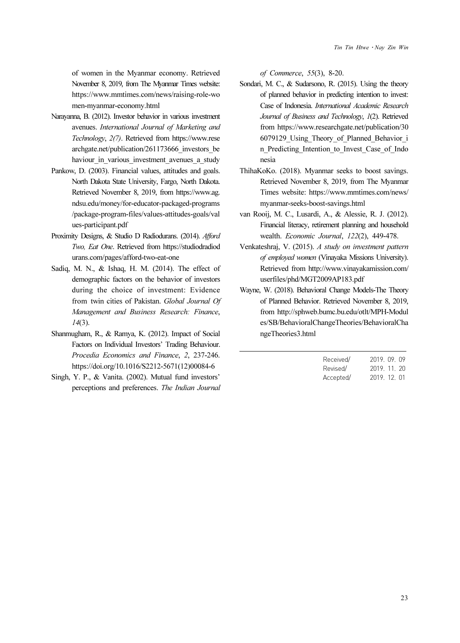of women in the Myanmar economy. Retrieved November 8, 2019, from The Myanmar Times website: https://www.mmtimes.com/news/raising-role-wo men-myanmar-economy.html

- Narayanna, B. (2012). Investor behavior in various investment avenues. International Journal of Marketing and Technology, 2(7). Retrieved from https://www.rese archgate.net/publication/261173666\_investors\_be haviour in various investment avenues a study
- Pankow, D. (2003). Financial values, attitudes and goals. North Dakota State University, Fargo, North Dakota. Retrieved November 8, 2019, from https://www.ag. ndsu.edu/money/for-educator-packaged-programs /package-program-files/values-attitudes-goals/val ues-participant.pdf
- Proximity Designs, & Studio D Radiodurans. (2014). Afford Two, Eat One. Retrieved from https://studiodradiod urans.com/pages/afford-two-eat-one
- Sadiq, M. N., & Ishaq, H. M. (2014). The effect of demographic factors on the behavior of investors during the choice of investment: Evidence from twin cities of Pakistan. Global Journal Of Management and Business Research: Finance, 14(3).
- Shanmugham, R., & Ramya, K. (2012). Impact of Social Factors on Individual Investors' Trading Behaviour. Procedia Economics and Finance, 2, 237-246. https://doi.org/10.1016/S2212-5671(12)00084-6
- Singh, Y. P., & Vanita. (2002). Mutual fund investors' perceptions and preferences. The Indian Journal

of Commerce, 55(3), 8-20.

- Sondari, M. C., & Sudarsono, R. (2015). Using the theory of planned behavior in predicting intention to invest: Case of Indonesia. International Academic Research Journal of Business and Technology, 1(2). Retrieved from https://www.researchgate.net/publication/30 6079129\_Using\_Theory\_of\_Planned\_Behavior\_i n Predicting Intention to Invest Case of Indo nesia
- ThihaKoKo. (2018). Myanmar seeks to boost savings. Retrieved November 8, 2019, from The Myanmar Times website: https://www.mmtimes.com/news/ myanmar-seeks-boost-savings.html
- van Rooij, M. C., Lusardi, A., & Alessie, R. J. (2012). Financial literacy, retirement planning and household wealth. Economic Journal, 122(2), 449-478.
- Venkateshraj, V. (2015). A study on investment pattern of employed women (Vinayaka Missions University). Retrieved from http://www.vinayakamission.com/ userfiles/phd/MGT2009AP183.pdf
- Wayne, W. (2018). Behavioral Change Models-The Theory of Planned Behavior. Retrieved November 8, 2019, from http://sphweb.bumc.bu.edu/otlt/MPH-Modul es/SB/BehavioralChangeTheories/BehavioralCha ngeTheories3.html

| Received/ | 2019. 09. 09 |  |
|-----------|--------------|--|
| Revised/  | 2019. 11. 20 |  |
| Accepted/ | 2019. 12. 01 |  |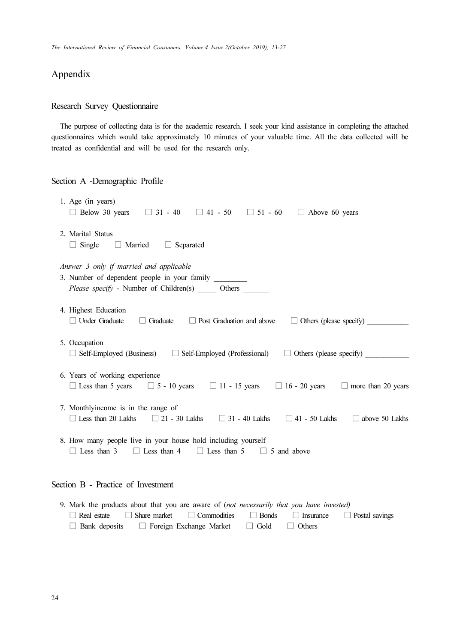# Appendix

## Research Survey Questionnaire

The purpose of collecting data is for the academic research. I seek your kind assistance in completing the attached questionnaires which would take approximately 10 minutes of your valuable time. All the data collected will be treated as confidential and will be used for the research only.

### Section A -Demographic Profile

| 1. Age (in years)                             | $\Box$ Below 30 years<br>$\Box$ 31 - 40 $\Box$ 41 - 50 $\Box$ 51 - 60<br>$\Box$ Above 60 years                                                                                 |
|-----------------------------------------------|--------------------------------------------------------------------------------------------------------------------------------------------------------------------------------|
| 2. Marital Status<br>$\Box$ Single            | $\Box$ Married<br>$\Box$ Separated                                                                                                                                             |
|                                               | Answer 3 only if married and applicable<br>3. Number of dependent people in your family<br>Please specify - Number of Children(s) ______ Others ______                         |
| 4. Highest Education<br>$\Box$ Under Graduate | $\Box$ Graduate<br>$\Box$ Post Graduation and above<br>$\Box$ Others (please specify)                                                                                          |
| 5. Occupation                                 | $\Box$ Self-Employed (Business)<br>$\Box$ Self-Employed (Professional)<br>$\Box$ Others (please specify)                                                                       |
|                                               | 6. Years of working experience<br>□ Less than 5 years $\Box$ 5 - 10 years $\Box$ 11 - 15 years $\Box$ 16 - 20 years<br>$\Box$ more than 20 years                               |
|                                               | 7. Monthlyincome is in the range of<br>$\Box$ Less than 20 Lakhs<br>$\Box$ 21 - 30 Lakhs $\Box$ 31 - 40 Lakhs $\Box$ 41 - 50 Lakhs<br>$\Box$ above 50 Lakhs                    |
| $\Box$ Less than 3                            | 8. How many people live in your house hold including yourself<br>$\Box$ Less than 4 $\Box$ Less than 5 $\Box$ 5 and above                                                      |
|                                               | Section B - Practice of Investment                                                                                                                                             |
| Real estate                                   | 9. Mark the products about that you are aware of (not necessarily that you have invested)<br>Share market<br><b>Bonds</b><br>$\Box$ Commodities<br>Postal savings<br>Insurance |

□ Bank deposits □ Foreign Exchange Market □ Gold □ Others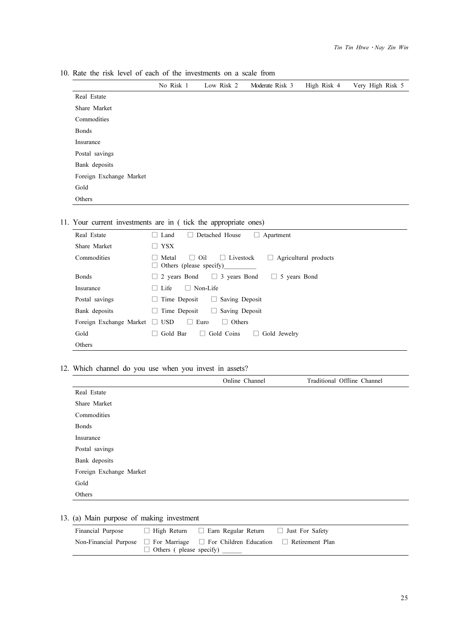10. Rate the risk level of each of the investments on a scale from

|                         | No Risk 1 | Low Risk 2 | Moderate Risk 3 | High Risk 4 | Very High Risk 5 |
|-------------------------|-----------|------------|-----------------|-------------|------------------|
| Real Estate             |           |            |                 |             |                  |
| Share Market            |           |            |                 |             |                  |
| Commodities             |           |            |                 |             |                  |
| <b>Bonds</b>            |           |            |                 |             |                  |
| Insurance               |           |            |                 |             |                  |
| Postal savings          |           |            |                 |             |                  |
| Bank deposits           |           |            |                 |             |                  |
| Foreign Exchange Market |           |            |                 |             |                  |
| Gold                    |           |            |                 |             |                  |
| Others                  |           |            |                 |             |                  |

## 11. Your current investments are in ( tick the appropriate ones)

| Real Estate                        | Detached House<br>Land<br>Apartment<br>$\mathbf{1}$<br>ш                                                  |
|------------------------------------|-----------------------------------------------------------------------------------------------------------|
| Share Market                       | $\Box$ YSX                                                                                                |
| Commodities                        | Metal<br>Oil<br>$\Box$ Livestock<br>Agricultural products<br>$\Box$<br>ш<br>Others (please specify)<br>L. |
| <b>Bonds</b>                       | $\Box$ 2 years Bond $\Box$ 3 years Bond $\Box$ 5 years Bond                                               |
| Insurance                          | $\Box$ Non-Life<br>$\Box$ Life                                                                            |
| Postal savings                     | Saving Deposit<br>Time Deposit<br>U<br>ш                                                                  |
| Bank deposits                      | $\Box$ Saving Deposit<br>Time Deposit<br>ш                                                                |
| Foreign Exchange Market $\Box$ USD | $\Box$ Euro<br>$\Box$ Others                                                                              |
| Gold                               | Gold Bar<br>$\Box$ Gold Coins<br>Gold Jewelry<br>$\Box$                                                   |
| Others                             |                                                                                                           |

## 12. Which channel do you use when you invest in assets?

|                         | Online Channel | Traditional Offline Channel |
|-------------------------|----------------|-----------------------------|
| Real Estate             |                |                             |
| Share Market            |                |                             |
| Commodities             |                |                             |
| <b>Bonds</b>            |                |                             |
| Insurance               |                |                             |
| Postal savings          |                |                             |
| Bank deposits           |                |                             |
| Foreign Exchange Market |                |                             |
| Gold                    |                |                             |
| Others                  |                |                             |

# 13. (a) Main purpose of making investment

| Financial Purpose | $\Box$ High Return $\Box$ Earn Regular Return $\Box$ Just For Safety                                                                     |  |
|-------------------|------------------------------------------------------------------------------------------------------------------------------------------|--|
|                   | Non-Financial Purpose $\Box$ For Marriage $\Box$ For Children Education $\Box$ Retirement Plan<br>$\Box$ Others ( please specify) $\Box$ |  |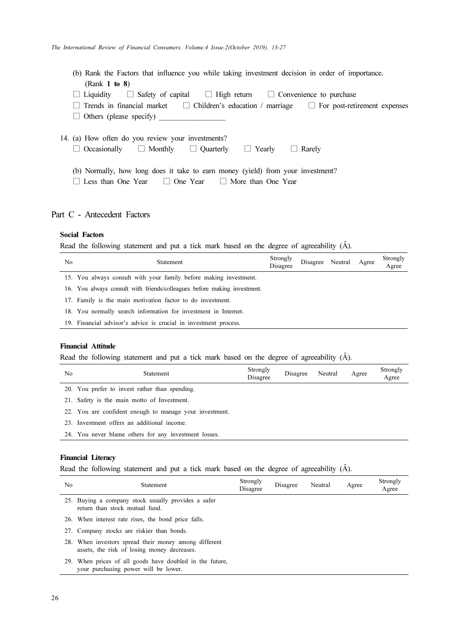| (b) Rank the Factors that influence you while taking investment decision in order of importance.             |
|--------------------------------------------------------------------------------------------------------------|
| (Rank 1 to 8)                                                                                                |
| $\Box$ Liquidity $\Box$ Safety of capital $\Box$ High return $\Box$ Convenience to purchase                  |
| $\Box$ Trends in financial market $\Box$ Children's education / marriage $\Box$ For post-retirement expenses |
| $\Box$ Others (please specify) $\Box$                                                                        |
|                                                                                                              |
| 14. (a) How often do you review your investments?                                                            |
| $\Box$ Occasionally $\Box$ Monthly $\Box$ Quarterly $\Box$ Yearly<br>$\Box$ Rarely                           |
|                                                                                                              |
| (b) Normally, how long does it take to earn money (yield) from your investment?                              |
| Less than One Year $\Box$ One Year $\Box$ More than One Year                                                 |
|                                                                                                              |

## Part C - Antecedent Factors

#### Social Factors

Read the following statement and put a tick mark based on the degree of agreeability (Â).

| No | Statement                                                                | Strongly<br>Disagree | Disagree Neutral Agree |  | Strongly<br>Agree |
|----|--------------------------------------------------------------------------|----------------------|------------------------|--|-------------------|
|    | 15. You always consult with your family before making investment.        |                      |                        |  |                   |
|    | 16. You always consult with friends/colleagues before making investment. |                      |                        |  |                   |
|    | 17. Family is the main motivation factor to do investment.               |                      |                        |  |                   |
|    | 18. You normally search information for investment in Internet.          |                      |                        |  |                   |
|    | 10 Figure 1:1 Abitante adriar la constat la lucreatura de una casa       |                      |                        |  |                   |

19. Financial advisor's advice is crucial in investment process.

### Financial Attitude

Read the following statement and put a tick mark based on the degree of agreeability (Â).

| No | Statement                                               | Strongly<br>Disagree | Disagree Neutral | Agree | Strongly<br>Agree |
|----|---------------------------------------------------------|----------------------|------------------|-------|-------------------|
|    | 20. You prefer to invest rather than spending.          |                      |                  |       |                   |
|    | 21. Safety is the main motto of Investment.             |                      |                  |       |                   |
|    | 22. You are confident enough to manage your investment. |                      |                  |       |                   |
|    | 23. Investment offers an additional income.             |                      |                  |       |                   |

24. You never blame others for any investment losses.

#### Financial Literacy

Read the following statement and put a tick mark based on the degree of agreeability (Â).

| No | <b>Statement</b>                                                                                     | Strongly<br>Disagree | Disagree | Neutral | Agree | Strongly<br>Agree |
|----|------------------------------------------------------------------------------------------------------|----------------------|----------|---------|-------|-------------------|
|    | 25. Buying a company stock usually provides a safer<br>return than stock mutual fund.                |                      |          |         |       |                   |
|    | 26. When interest rate rises, the bond price falls.                                                  |                      |          |         |       |                   |
|    | 27. Company stocks are riskier than bonds.                                                           |                      |          |         |       |                   |
|    | 28. When investors spread their money among different<br>assets, the risk of losing money decreases. |                      |          |         |       |                   |
|    | 29. When prices of all goods have doubled in the future,<br>your purchasing power will be lower.     |                      |          |         |       |                   |